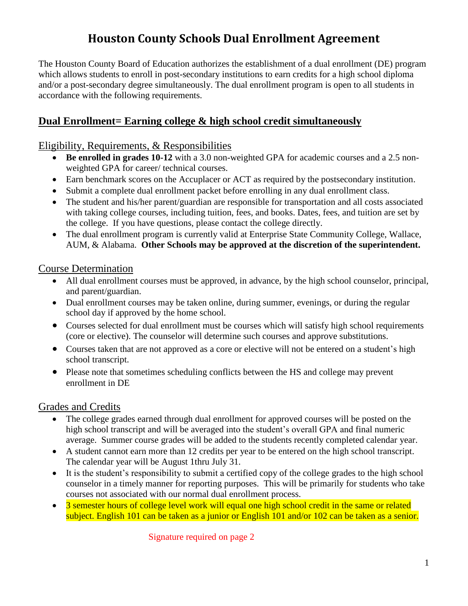# **Houston County Schools Dual Enrollment Agreement**

The Houston County Board of Education authorizes the establishment of a dual enrollment (DE) program which allows students to enroll in post-secondary institutions to earn credits for a high school diploma and/or a post-secondary degree simultaneously. The dual enrollment program is open to all students in accordance with the following requirements.

## **Dual Enrollment= Earning college & high school credit simultaneously**

#### Eligibility, Requirements, & Responsibilities

- **Be enrolled in grades 10-12** with a 3.0 non-weighted GPA for academic courses and a 2.5 nonweighted GPA for career/ technical courses.
- Earn benchmark scores on the Accuplacer or ACT as required by the postsecondary institution.
- Submit a complete dual enrollment packet before enrolling in any dual enrollment class.
- The student and his/her parent/guardian are responsible for transportation and all costs associated with taking college courses, including tuition, fees, and books. Dates, fees, and tuition are set by the college. If you have questions, please contact the college directly.
- The dual enrollment program is currently valid at Enterprise State Community College, Wallace, AUM, & Alabama. **Other Schools may be approved at the discretion of the superintendent.**

#### Course Determination

- All dual enrollment courses must be approved, in advance, by the high school counselor, principal, and parent/guardian.
- Dual enrollment courses may be taken online, during summer, evenings, or during the regular school day if approved by the home school.
- Courses selected for dual enrollment must be courses which will satisfy high school requirements (core or elective). The counselor will determine such courses and approve substitutions.
- Courses taken that are not approved as a core or elective will not be entered on a student's high school transcript.
- Please note that sometimes scheduling conflicts between the HS and college may prevent enrollment in DE

#### Grades and Credits

- The college grades earned through dual enrollment for approved courses will be posted on the high school transcript and will be averaged into the student's overall GPA and final numeric average. Summer course grades will be added to the students recently completed calendar year.
- A student cannot earn more than 12 credits per year to be entered on the high school transcript. The calendar year will be August 1thru July 31.
- It is the student's responsibility to submit a certified copy of the college grades to the high school counselor in a timely manner for reporting purposes. This will be primarily for students who take courses not associated with our normal dual enrollment process.
- 3 semester hours of college level work will equal one high school credit in the same or related subject. English 101 can be taken as a junior or English 101 and/or 102 can be taken as a senior.

Signature required on page 2